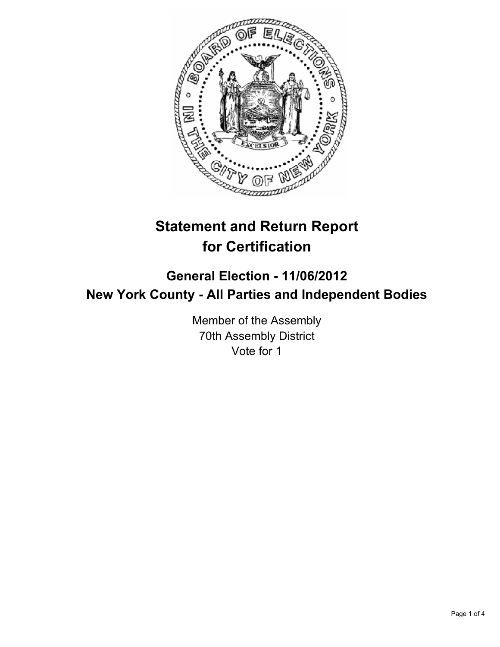

# **Statement and Return Report for Certification**

## **General Election - 11/06/2012 New York County - All Parties and Independent Bodies**

Member of the Assembly 70th Assembly District Vote for 1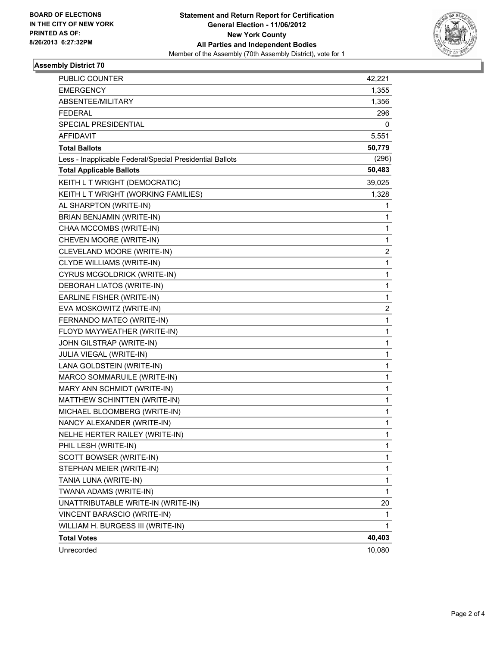

#### **Assembly District 70**

| PUBLIC COUNTER                                           | 42,221       |
|----------------------------------------------------------|--------------|
| EMERGENCY                                                | 1,355        |
| ABSENTEE/MILITARY                                        | 1,356        |
| <b>FEDERAL</b>                                           | 296          |
| SPECIAL PRESIDENTIAL                                     | 0            |
| <b>AFFIDAVIT</b>                                         | 5,551        |
| <b>Total Ballots</b>                                     | 50,779       |
| Less - Inapplicable Federal/Special Presidential Ballots | (296)        |
| <b>Total Applicable Ballots</b>                          | 50,483       |
| KEITH L T WRIGHT (DEMOCRATIC)                            | 39,025       |
| KEITH L T WRIGHT (WORKING FAMILIES)                      | 1,328        |
| AL SHARPTON (WRITE-IN)                                   | 1            |
| BRIAN BENJAMIN (WRITE-IN)                                | 1            |
| CHAA MCCOMBS (WRITE-IN)                                  | 1            |
| CHEVEN MOORE (WRITE-IN)                                  | 1            |
| CLEVELAND MOORE (WRITE-IN)                               | 2            |
| CLYDE WILLIAMS (WRITE-IN)                                | 1            |
| CYRUS MCGOLDRICK (WRITE-IN)                              | 1            |
| DEBORAH LIATOS (WRITE-IN)                                | 1            |
| EARLINE FISHER (WRITE-IN)                                | 1            |
| EVA MOSKOWITZ (WRITE-IN)                                 | 2            |
| FERNANDO MATEO (WRITE-IN)                                | 1            |
| FLOYD MAYWEATHER (WRITE-IN)                              | 1            |
| JOHN GILSTRAP (WRITE-IN)                                 | 1            |
| JULIA VIEGAL (WRITE-IN)                                  | 1            |
| LANA GOLDSTEIN (WRITE-IN)                                | $\mathbf 1$  |
| MARCO SOMMARUILE (WRITE-IN)                              | 1            |
| MARY ANN SCHMIDT (WRITE-IN)                              | 1            |
| MATTHEW SCHINTTEN (WRITE-IN)                             | 1            |
| MICHAEL BLOOMBERG (WRITE-IN)                             | 1            |
| NANCY ALEXANDER (WRITE-IN)                               | 1            |
| NELHE HERTER RAILEY (WRITE-IN)                           | 1            |
| PHIL LESH (WRITE-IN)                                     | 1            |
| SCOTT BOWSER (WRITE-IN)                                  | 1            |
| STEPHAN MEIER (WRITE-IN)                                 | 1            |
| TANIA LUNA (WRITE-IN)                                    | 1            |
| TWANA ADAMS (WRITE-IN)                                   | $\mathbf{1}$ |
| UNATTRIBUTABLE WRITE-IN (WRITE-IN)                       | 20           |
| VINCENT BARASCIO (WRITE-IN)                              | 1            |
| WILLIAM H. BURGESS III (WRITE-IN)                        | 1            |
| <b>Total Votes</b>                                       | 40,403       |
| Unrecorded                                               | 10,080       |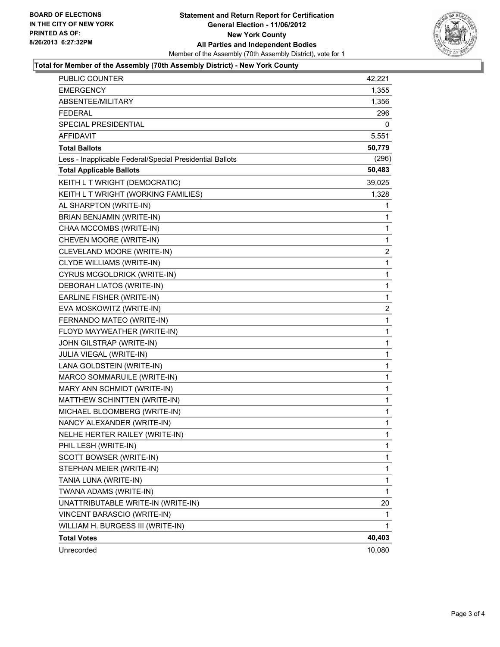

#### **Total for Member of the Assembly (70th Assembly District) - New York County**

| <b>PUBLIC COUNTER</b>                                    | 42,221         |
|----------------------------------------------------------|----------------|
| <b>EMERGENCY</b>                                         | 1,355          |
| ABSENTEE/MILITARY                                        | 1,356          |
| <b>FEDERAL</b>                                           | 296            |
| SPECIAL PRESIDENTIAL                                     | 0              |
| <b>AFFIDAVIT</b>                                         | 5,551          |
| <b>Total Ballots</b>                                     | 50,779         |
| Less - Inapplicable Federal/Special Presidential Ballots | (296)          |
| <b>Total Applicable Ballots</b>                          | 50,483         |
| KEITH L T WRIGHT (DEMOCRATIC)                            | 39,025         |
| KEITH L T WRIGHT (WORKING FAMILIES)                      | 1,328          |
| AL SHARPTON (WRITE-IN)                                   | 1              |
| BRIAN BENJAMIN (WRITE-IN)                                | 1              |
| CHAA MCCOMBS (WRITE-IN)                                  | 1              |
| CHEVEN MOORE (WRITE-IN)                                  | 1              |
| CLEVELAND MOORE (WRITE-IN)                               | $\overline{2}$ |
| CLYDE WILLIAMS (WRITE-IN)                                | 1              |
| CYRUS MCGOLDRICK (WRITE-IN)                              | 1              |
| DEBORAH LIATOS (WRITE-IN)                                | 1              |
| EARLINE FISHER (WRITE-IN)                                | 1              |
| EVA MOSKOWITZ (WRITE-IN)                                 | 2              |
| FERNANDO MATEO (WRITE-IN)                                | 1              |
| FLOYD MAYWEATHER (WRITE-IN)                              | $\mathbf{1}$   |
| JOHN GILSTRAP (WRITE-IN)                                 | 1              |
| JULIA VIEGAL (WRITE-IN)                                  | 1              |
| LANA GOLDSTEIN (WRITE-IN)                                | 1              |
| MARCO SOMMARUILE (WRITE-IN)                              | 1              |
| MARY ANN SCHMIDT (WRITE-IN)                              | 1              |
| MATTHEW SCHINTTEN (WRITE-IN)                             | $\mathbf{1}$   |
| MICHAEL BLOOMBERG (WRITE-IN)                             | $\mathbf{1}$   |
| NANCY ALEXANDER (WRITE-IN)                               | 1              |
| NELHE HERTER RAILEY (WRITE-IN)                           | 1              |
| PHIL LESH (WRITE-IN)                                     | 1              |
| SCOTT BOWSER (WRITE-IN)                                  | 1              |
| STEPHAN MEIER (WRITE-IN)                                 | 1              |
| TANIA LUNA (WRITE-IN)                                    | 1              |
| TWANA ADAMS (WRITE-IN)                                   | 1              |
| UNATTRIBUTABLE WRITE-IN (WRITE-IN)                       | 20             |
| VINCENT BARASCIO (WRITE-IN)                              | 1              |
| WILLIAM H. BURGESS III (WRITE-IN)                        | 1.             |
| <b>Total Votes</b>                                       | 40,403         |
| Unrecorded                                               | 10,080         |